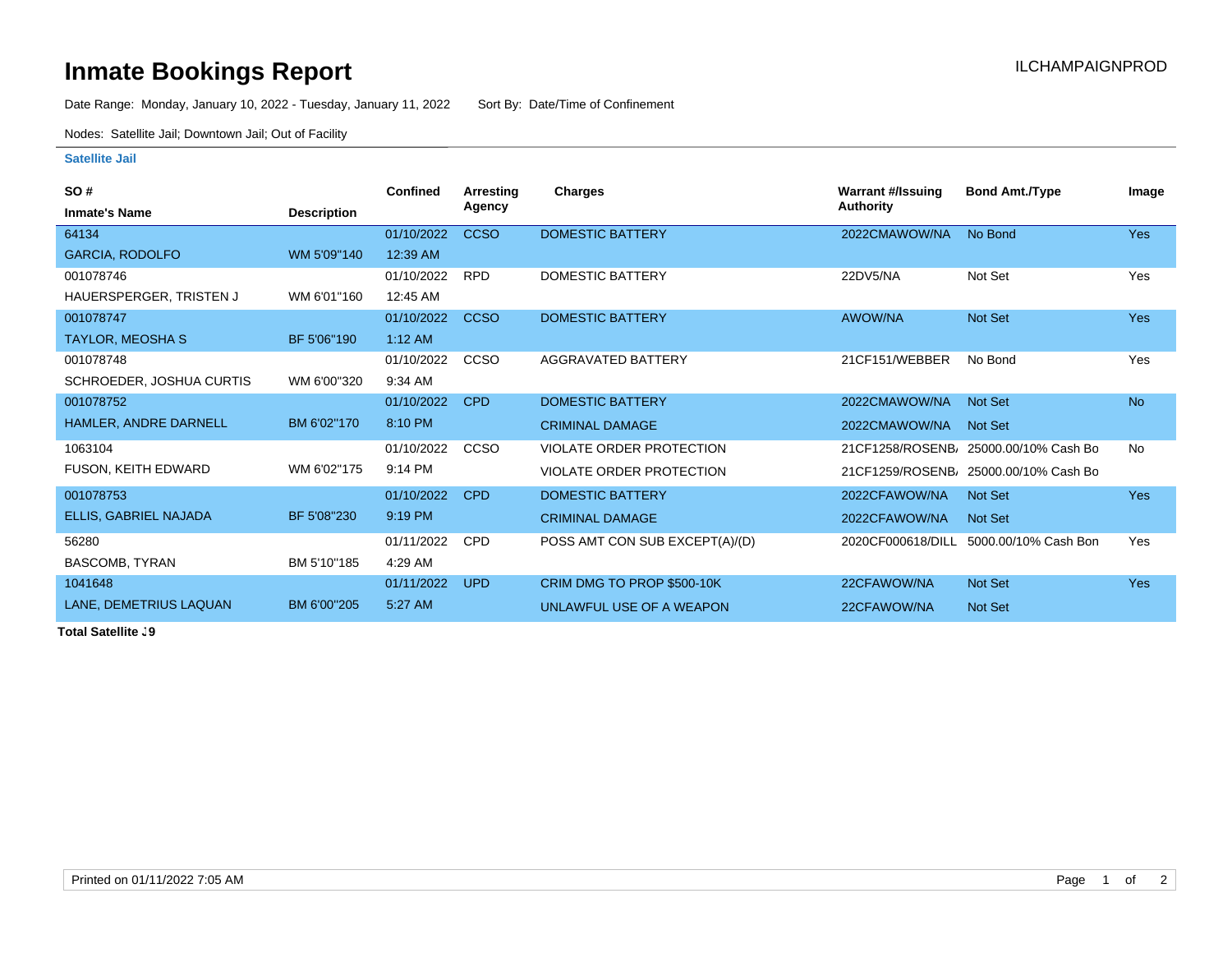## **Inmate Bookings Report Inmate Bookings Report**

Date Range: Monday, January 10, 2022 - Tuesday, January 11, 2022 Sort By: Date/Time of Confinement

Nodes: Satellite Jail; Downtown Jail; Out of Facility

## **Satellite Jail**

| <b>SO#</b>               |                    | <b>Confined</b> | Arresting     | Charges                        | Warrant #/Issuing | <b>Bond Amt./Type</b> | Image      |
|--------------------------|--------------------|-----------------|---------------|--------------------------------|-------------------|-----------------------|------------|
| <b>Inmate's Name</b>     | <b>Description</b> |                 | <b>Agency</b> |                                | <b>Authority</b>  |                       |            |
| 64134                    |                    | 01/10/2022      | <b>CCSO</b>   | <b>DOMESTIC BATTERY</b>        | 2022CMAWOW/NA     | No Bond               | <b>Yes</b> |
| <b>GARCIA, RODOLFO</b>   | WM 5'09"140        | 12:39 AM        |               |                                |                   |                       |            |
| 001078746                |                    | 01/10/2022      | <b>RPD</b>    | <b>DOMESTIC BATTERY</b>        | 22DV5/NA          | Not Set               | Yes        |
| HAUERSPERGER, TRISTEN J  | WM 6'01"160        | 12:45 AM        |               |                                |                   |                       |            |
| 001078747                |                    | 01/10/2022      | <b>CCSO</b>   | <b>DOMESTIC BATTERY</b>        | <b>AWOW/NA</b>    | Not Set               | <b>Yes</b> |
| <b>TAYLOR, MEOSHA S</b>  | BF 5'06"190        | $1:12$ AM       |               |                                |                   |                       |            |
| 001078748                |                    | 01/10/2022      | <b>CCSO</b>   | AGGRAVATED BATTERY             | 21CF151/WEBBER    | No Bond               | Yes        |
| SCHROEDER, JOSHUA CURTIS | WM 6'00"320        | 9:34 AM         |               |                                |                   |                       |            |
| 001078752                |                    | 01/10/2022      | <b>CPD</b>    | <b>DOMESTIC BATTERY</b>        | 2022CMAWOW/NA     | Not Set               | <b>No</b>  |
| HAMLER, ANDRE DARNELL    | BM 6'02"170        | 8:10 PM         |               | <b>CRIMINAL DAMAGE</b>         | 2022CMAWOW/NA     | Not Set               |            |
| 1063104                  |                    | 01/10/2022      | CCSO          | VIOLATE ORDER PROTECTION       | 21CF1258/ROSENB/  | 25000.00/10% Cash Bo  | <b>No</b>  |
| FUSON, KEITH EDWARD      | WM 6'02"175        | 9:14 PM         |               | VIOLATE ORDER PROTECTION       | 21CF1259/ROSENB   | 25000.00/10% Cash Bo  |            |
| 001078753                |                    | 01/10/2022      | <b>CPD</b>    | <b>DOMESTIC BATTERY</b>        | 2022CFAWOW/NA     | Not Set               | <b>Yes</b> |
| ELLIS, GABRIEL NAJADA    | BF 5'08"230        | 9:19 PM         |               | <b>CRIMINAL DAMAGE</b>         | 2022CFAWOW/NA     | Not Set               |            |
| 56280                    |                    | 01/11/2022      | <b>CPD</b>    | POSS AMT CON SUB EXCEPT(A)/(D) | 2020CF000618/DILL | 5000.00/10% Cash Bon  | Yes        |
| <b>BASCOMB, TYRAN</b>    | BM 5'10"185        | 4:29 AM         |               |                                |                   |                       |            |
| 1041648                  |                    | 01/11/2022      | <b>UPD</b>    | CRIM DMG TO PROP \$500-10K     | 22CFAWOW/NA       | Not Set               | Yes        |
| LANE, DEMETRIUS LAQUAN   | BM 6'00"205        | 5:27 AM         |               | UNLAWFUL USE OF A WEAPON       | 22CFAWOW/NA       | Not Set               |            |

**Total Satellite J9**